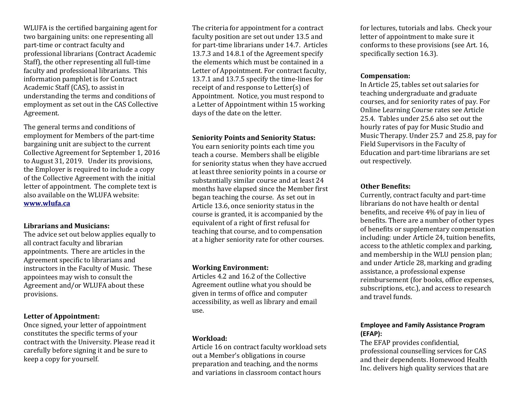WLUFA is the certified bargaining agent for two bargaining units: one representing all part-time or contract faculty and professional librarians (Contract Academic Staff), the other representing all full-time faculty and professional librarians. This information pamphlet is for Contract Academic Staff (CAS), to assist in understanding the terms and conditions of employment as set out in the CAS Collective Agreement.

The general terms and conditions of employment for Members of the part-time bargaining unit are subject to the current Collective Agreement for September 1, 2016 to August 31, 2019. Under its provisions, the Employer is required to include a copy of the Collective Agreement with the initial letter of appointment. The complete text is also available on the WLUFA website: **[www.wlufa.ca](http://www.wlufa.ca/)**

#### **Librarians and Musicians:**

The advice set out below applies equally to all contract faculty and librarian appointments. There are articles in the Agreement specific to librarians and instructors in the Faculty of Music. These appointees may wish to consult the Agreement and/or WLUFA about these provisions.

#### **Letter of Appointment:**

Once signed, your letter of appointment constitutes the specific terms of your contract with the University. Please read it carefully before signing it and be sure to keep a copy for yourself.

The criteria for appointment for a contract faculty position are set out under 13.5 and for part-time librarians under 14.7. Articles 13.7.3 and 14.8.1 of the Agreement specify the elements which must be contained in a Letter of Appointment. For contract faculty, 13.7.1 and 13.7.5 specify the time-lines for receipt of and response to Letter(s) of Appointment. Notice, you must respond to a Letter of Appointment within 15 working days of the date on the letter.

#### **Seniority Points and Seniority Status:**

You earn seniority points each time you teach a course. Members shall be eligible for seniority status when they have accrued at least three seniority points in a course or substantially similar course and at least 24 months have elapsed since the Member first began teaching the course. As set out in Article 13.6, once seniority status in the course is granted, it is accompanied by the equivalent of a right of first refusal for teaching that course, and to compensation at a higher seniority rate for other courses.

#### **Working Environment:**

Articles 4.2 and 16.2 of the Collective Agreement outline what you should be given in terms of office and computer accessibility, as well as library and email use.

#### **Workload:**

Article 16 on contract faculty workload sets out a Member's obligations in course preparation and teaching, and the norms and variations in classroom contact hours

for lectures, tutorials and labs. Check your letter of appointment to make sure it conforms to these provisions (see Art. 16, specifically section 16.3).

#### **Compensation:**

In Article 25, tables set out salaries for teaching undergraduate and graduate courses, and for seniority rates of pay. For Online Learning Course rates see Article 25.4. Tables under 25.6 also set out the hourly rates of pay for Music Studio and Music Therapy. Under 25.7 and 25.8, pay for Field Supervisors in the Faculty of Education and part-time librarians are set out respectively.

### **Other Benefits:**

Currently, contract faculty and part-time librarians do not have health or dental benefits, and receive 4% of pay in lieu of benefits. There are a number of other types of benefits or supplementary compensation including: under Article 24, tuition benefits, access to the athletic complex and parking, and membership in the WLU pension plan; and under Article 28, marking and grading assistance, a professional expense reimbursement (for books, office expenses, subscriptions, etc.), and access to research and travel funds.

## **Employee and Family Assistance Program (EFAP):**

The EFAP provides confidential, professional counselling services for CAS and their dependents. Homewood Health Inc. delivers high quality services that are